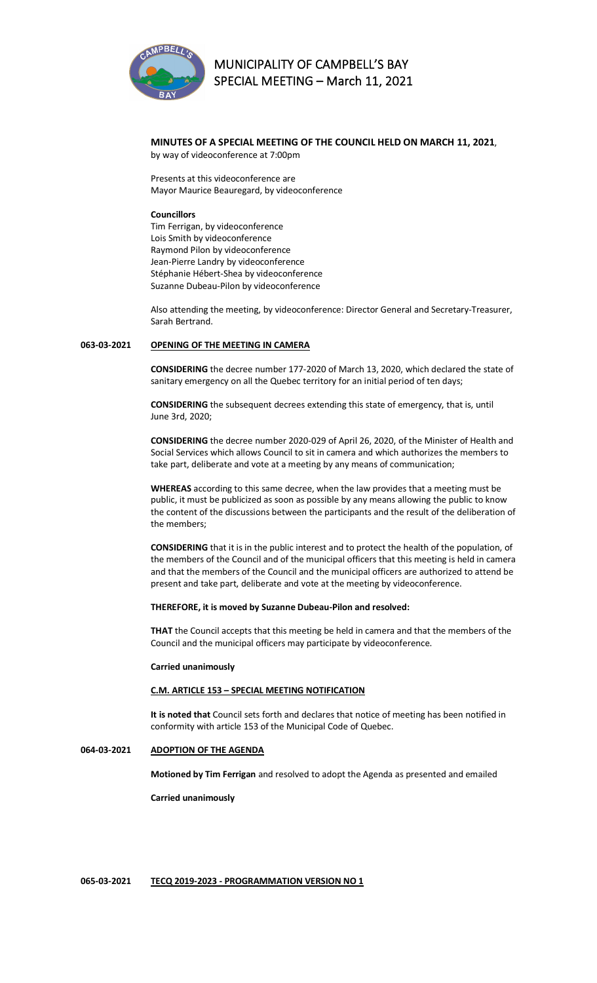

# **MUNICIPALITY OF CAMPBELL'S BAY SPECIAL MEETING – March 11, 2021**

#### **MINUTES OF A SPECIAL MEETING OF THE COUNCIL HELD ON MARCH 11, 2021**, by way of videoconference at 7:00pm

Presents at this videoconference are Mayor Maurice Beauregard, by videoconference

### **Councillors**

Tim Ferrigan, by videoconference Lois Smith by videoconference Raymond Pilon by videoconference Jean-Pierre Landry by videoconference Stéphanie Hébert-Shea by videoconference Suzanne Dubeau-Pilon by videoconference

Also attending the meeting, by videoconference: Director General and Secretary-Treasurer, Sarah Bertrand.

## **063-03-2021 OPENING OF THE MEETING IN CAMERA**

**CONSIDERING** the decree number 177-2020 of March 13, 2020, which declared the state of sanitary emergency on all the Quebec territory for an initial period of ten days;

**CONSIDERING** the subsequent decrees extending this state of emergency, that is, until June 3rd, 2020;

**CONSIDERING** the decree number 2020-029 of April 26, 2020, of the Minister of Health and Social Services which allows Council to sit in camera and which authorizes the members to take part, deliberate and vote at a meeting by any means of communication;

**WHEREAS** according to this same decree, when the law provides that a meeting must be public, it must be publicized as soon as possible by any means allowing the public to know the content of the discussions between the participants and the result of the deliberation of the members;

**CONSIDERING** that it is in the public interest and to protect the health of the population, of the members of the Council and of the municipal officers that this meeting is held in camera and that the members of the Council and the municipal officers are authorized to attend be present and take part, deliberate and vote at the meeting by videoconference.

### **THEREFORE, it is moved by Suzanne Dubeau-Pilon and resolved:**

**THAT** the Council accepts that this meeting be held in camera and that the members of the Council and the municipal officers may participate by videoconference.

### **Carried unanimously**

### **C.M. ARTICLE 153 – SPECIAL MEETING NOTIFICATION**

**It is noted that** Council sets forth and declares that notice of meeting has been notified in conformity with article 153 of the Municipal Code of Quebec.

## **064-03-2021 ADOPTION OF THE AGENDA**

**Motioned by Tim Ferrigan** and resolved to adopt the Agenda as presented and emailed

**Carried unanimously**

#### **065-03-2021 TECQ 2019-2023 - PROGRAMMATION VERSION NO 1**